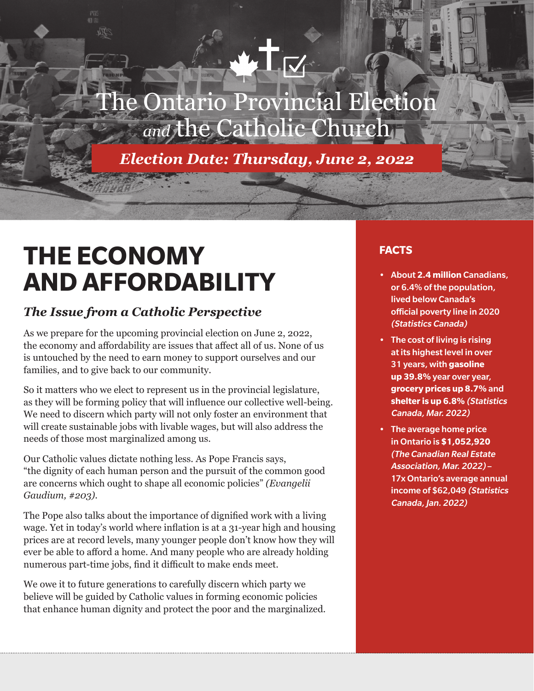# he Ontario Provincial Election and the Catholic Churcl

*Election Date: Thursday, June 2, 2022*

# **THE ECONOMY AND AFFORDABILITY**

# *The Issue from a Catholic Perspective*

As we prepare for the upcoming provincial election on June 2, 2022, the economy and affordability are issues that affect all of us. None of us is untouched by the need to earn money to support ourselves and our families, and to give back to our community.

So it matters who we elect to represent us in the provincial legislature, as they will be forming policy that will influence our collective well-being. We need to discern which party will not only foster an environment that will create sustainable jobs with livable wages, but will also address the needs of those most marginalized among us.

Our Catholic values dictate nothing less. As Pope Francis says, "the dignity of each human person and the pursuit of the common good are concerns which ought to shape all economic policies" *(Evangelii Gaudium, #203)*.

The Pope also talks about the importance of dignified work with a living wage. Yet in today's world where inflation is at a 31-year high and housing prices are at record levels, many younger people don't know how they will ever be able to afford a home. And many people who are already holding numerous part-time jobs, find it difficult to make ends meet.

We owe it to future generations to carefully discern which party we believe will be guided by Catholic values in forming economic policies that enhance human dignity and protect the poor and the marginalized.

## **FACTS**

- About **2.4 million** Canadians, or 6.4% of the population, lived below Canada's official poverty line in 2020 (Statistics Canada)
- The cost of living is rising at its highest level in over 31 years, with **gasoline up 39.8%** year over year, **grocery prices up 8.7%** and **shelter is up 6.8%** (Statistics Canada, Mar. 2022)
- The average home price in Ontario is **\$1,052,920** (The Canadian Real Estate Association, Mar. 2022) – 17x Ontario's average annual income of \$62,049 (Statistics Canada, Jan. 2022)